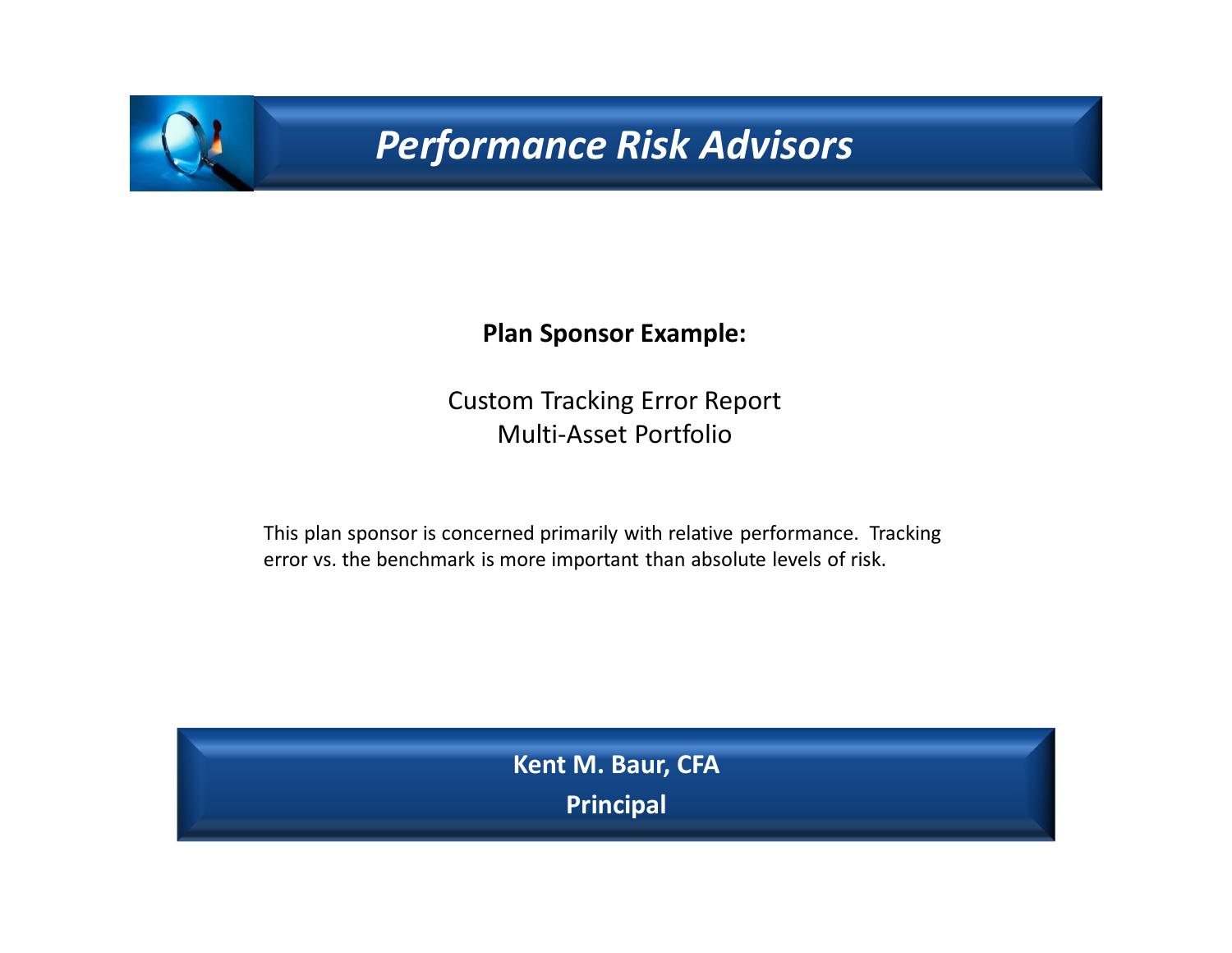# *Performance Risk Advisors*

#### **Plan Sponsor Example:**

Custom Tracking Error Report Multi-Asset Portfolio

This plan sponsor is concerned primarily with relative performance. Tracking error vs. the benchmark is more important than absolute levels of risk.

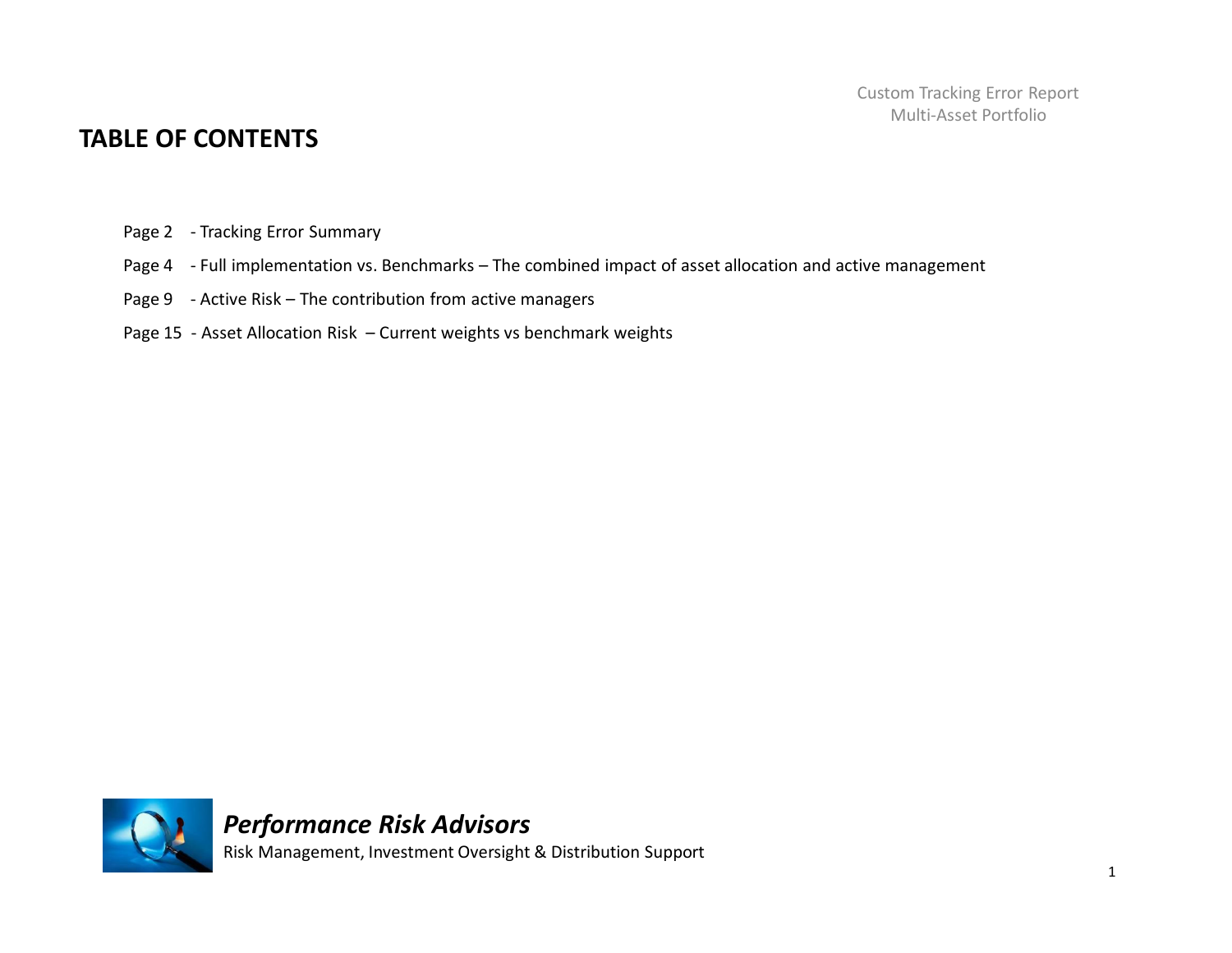#### **TABLE OF CONTENTS**

- Page 2 Tracking Error Summary
- Page 4 Full implementation vs. Benchmarks The combined impact of asset allocation and active management
- Page 9 Active Risk The contribution from active managers
- Page 15 Asset Allocation Risk Current weights vs benchmark weights

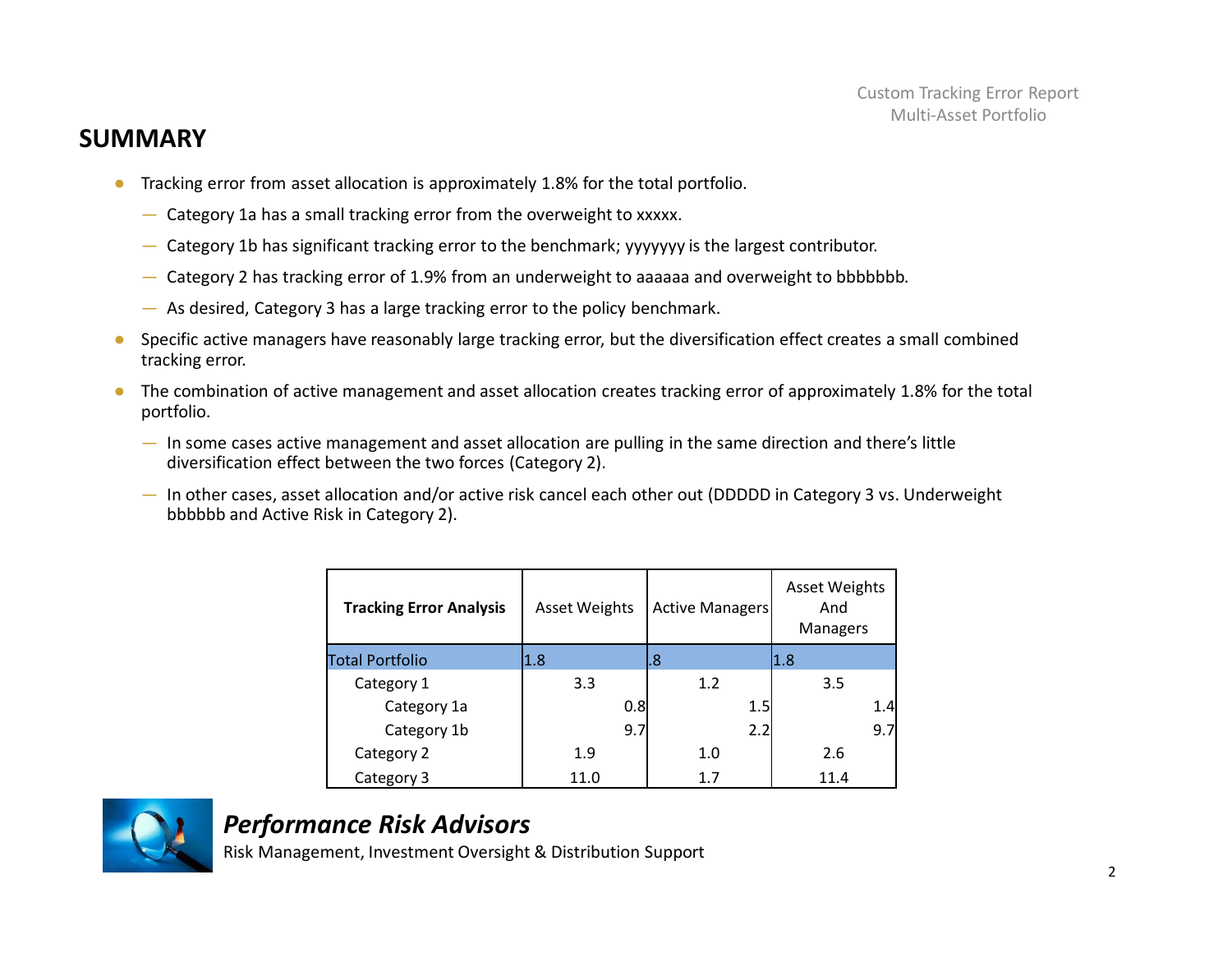#### **SUMMARY**

- Tracking error from asset allocation is approximately 1.8% for the total portfolio.
	- Category 1a has a small tracking error from the overweight to xxxxx.
	- Category 1b has significant tracking error to the benchmark; yyyyyyy is the largest contributor.
	- Category 2 has tracking error of 1.9% from an underweight to aaaaaa and overweight to bbbbbbb.
	- As desired, Category 3 has a large tracking error to the policy benchmark.
- Specific active managers have reasonably large tracking error, but the diversification effect creates a small combined tracking error.
- The combination of active management and asset allocation creates tracking error of approximately 1.8% for the total portfolio.
	- In some cases active management and asset allocation are pulling in the same direction and there's little diversification effect between the two forces (Category 2).
	- In other cases, asset allocation and/or active risk cancel each other out (DDDDD in Category 3 vs. Underweight bbbbbb and Active Risk in Category 2).

| <b>Tracking Error Analysis</b> | <b>Asset Weights</b> | Active Managers | <b>Asset Weights</b><br>And<br><b>Managers</b> |
|--------------------------------|----------------------|-----------------|------------------------------------------------|
| <b>Total Portfolio</b>         | 1.8                  | l.8             | 1.8                                            |
| Category 1                     | 3.3                  | 1.2             | 3.5                                            |
| Category 1a                    | 0.8                  | 1.5             | 1.4                                            |
| Category 1b                    | 9.7                  | 2.2             | 9.7                                            |
| Category 2                     | 1.9                  | 1.0             | 2.6                                            |
| Category 3                     | 11.0                 | 1.7             | 11.4                                           |



# *Performance Risk Advisors*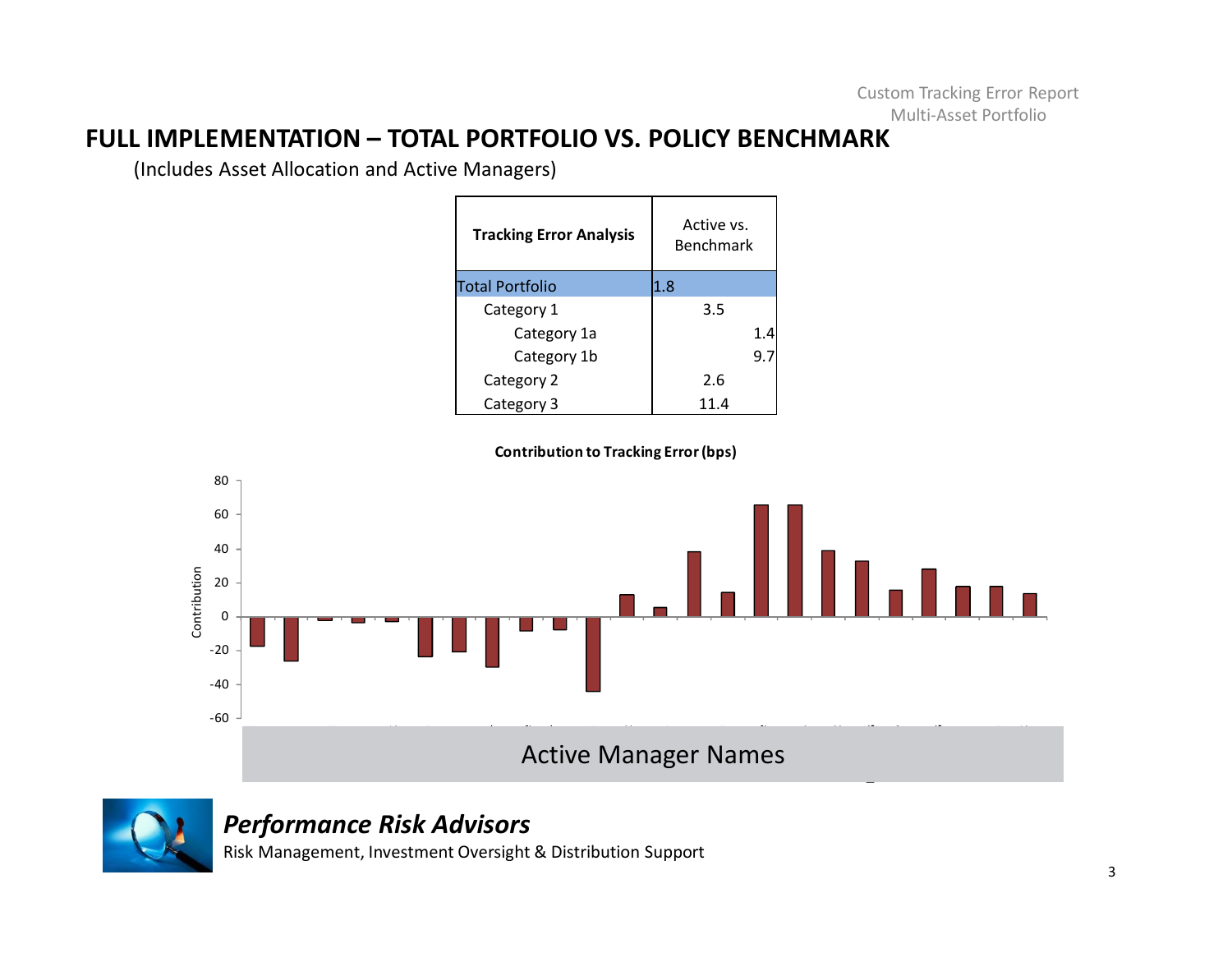#### **FULL IMPLEMENTATION – TOTAL PORTFOLIO VS. POLICY BENCHMARK**

(Includes Asset Allocation and Active Managers)

| <b>Tracking Error Analysis</b> | Active vs.<br><b>Benchmark</b> |
|--------------------------------|--------------------------------|
| <b>Total Portfolio</b>         | 1.8                            |
| Category 1                     | 3.5                            |
| Category 1a                    | 1.4                            |
| Category 1b                    | 9.7                            |
| Category 2                     | 2.6                            |
| Category 3                     | 11.4                           |

**Contribution to Tracking Error (bps)**





#### *Performance Risk Advisors*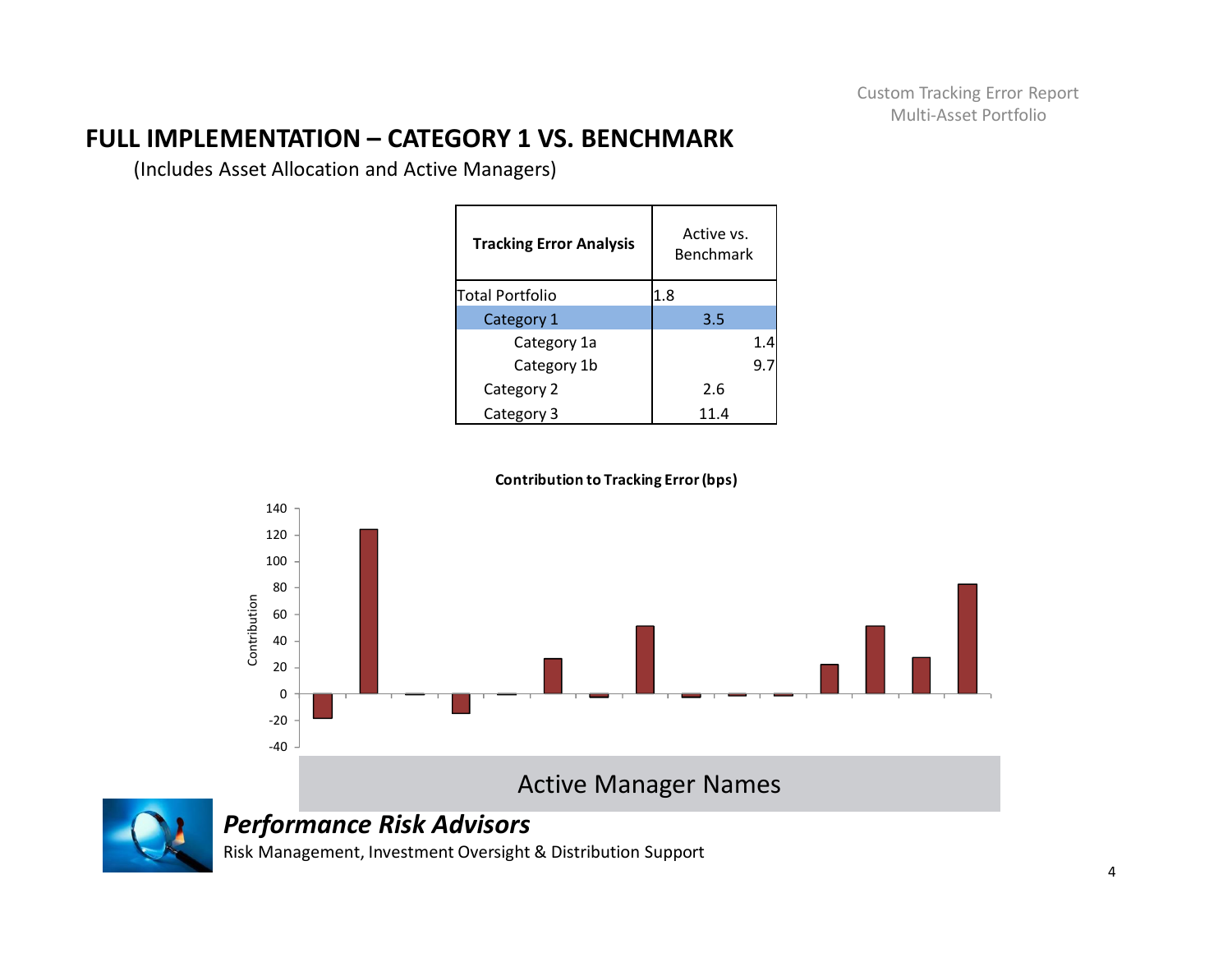# **FULL IMPLEMENTATION – CATEGORY 1 VS. BENCHMARK**

(Includes Asset Allocation and Active Managers)

| <b>Tracking Error Analysis</b> | Active vs.<br><b>Benchmark</b> |
|--------------------------------|--------------------------------|
| lTotal Portfolio               | 1.8                            |
| Category 1                     | 3.5                            |
| Category 1a                    | 1.4                            |
| Category 1b                    | 9.7                            |
| Category 2                     | 2.6                            |
| Category 3                     | 11.4                           |







#### *Performance Risk Advisors*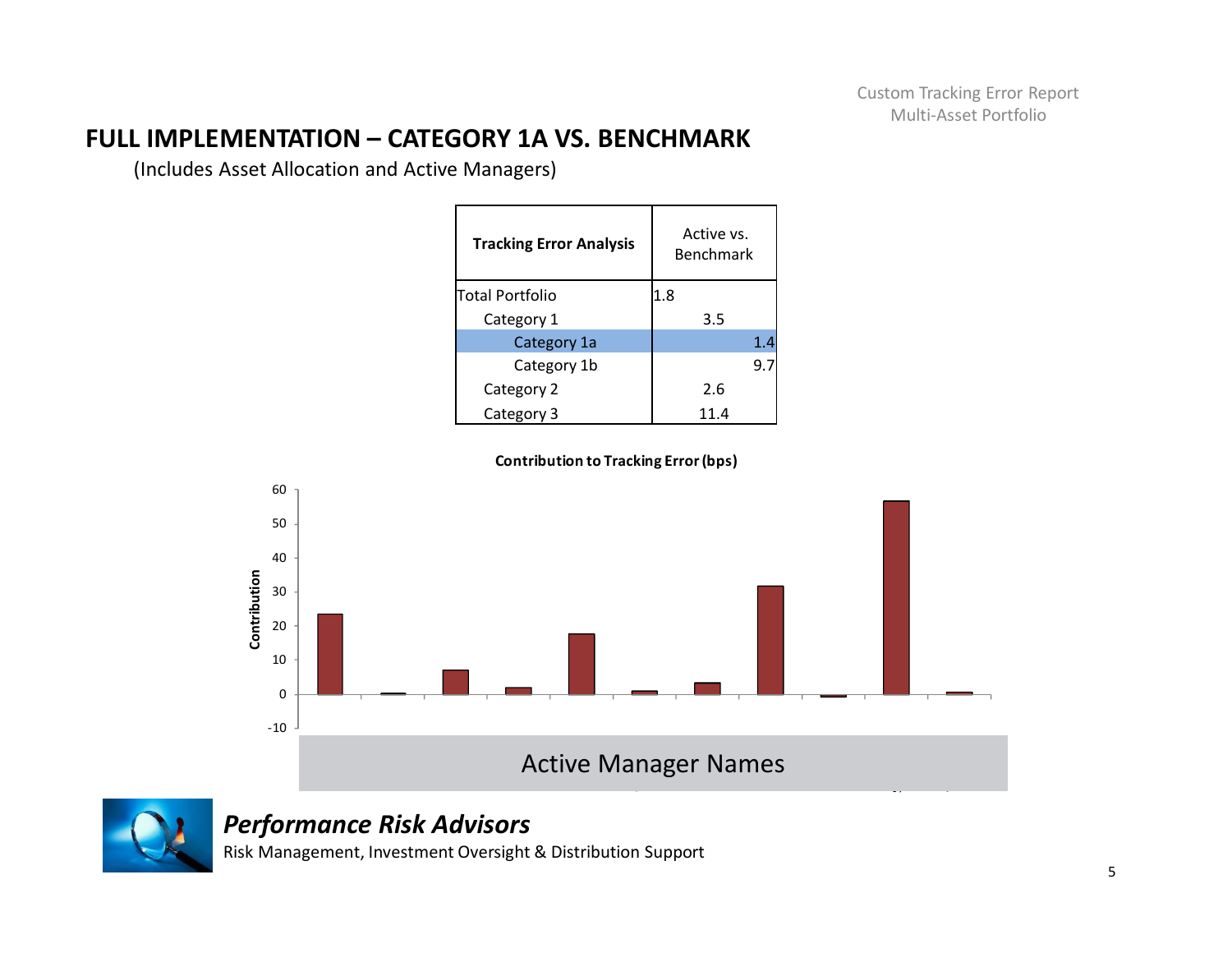# **FULL IMPLEMENTATION – CATEGORY 1A VS. BENCHMARK**

(Includes Asset Allocation and Active Managers)

| <b>Tracking Error Analysis</b> | Active vs.<br><b>Benchmark</b> |
|--------------------------------|--------------------------------|
| lTotal Portfolio               | 1.8                            |
| Category 1                     | 3.5                            |
| Category 1a                    | 1.4                            |
| Category 1b                    | 9.7                            |
| Category 2                     | 2.6                            |
| Category 3                     | 11.4                           |







### *Performance Risk Advisors*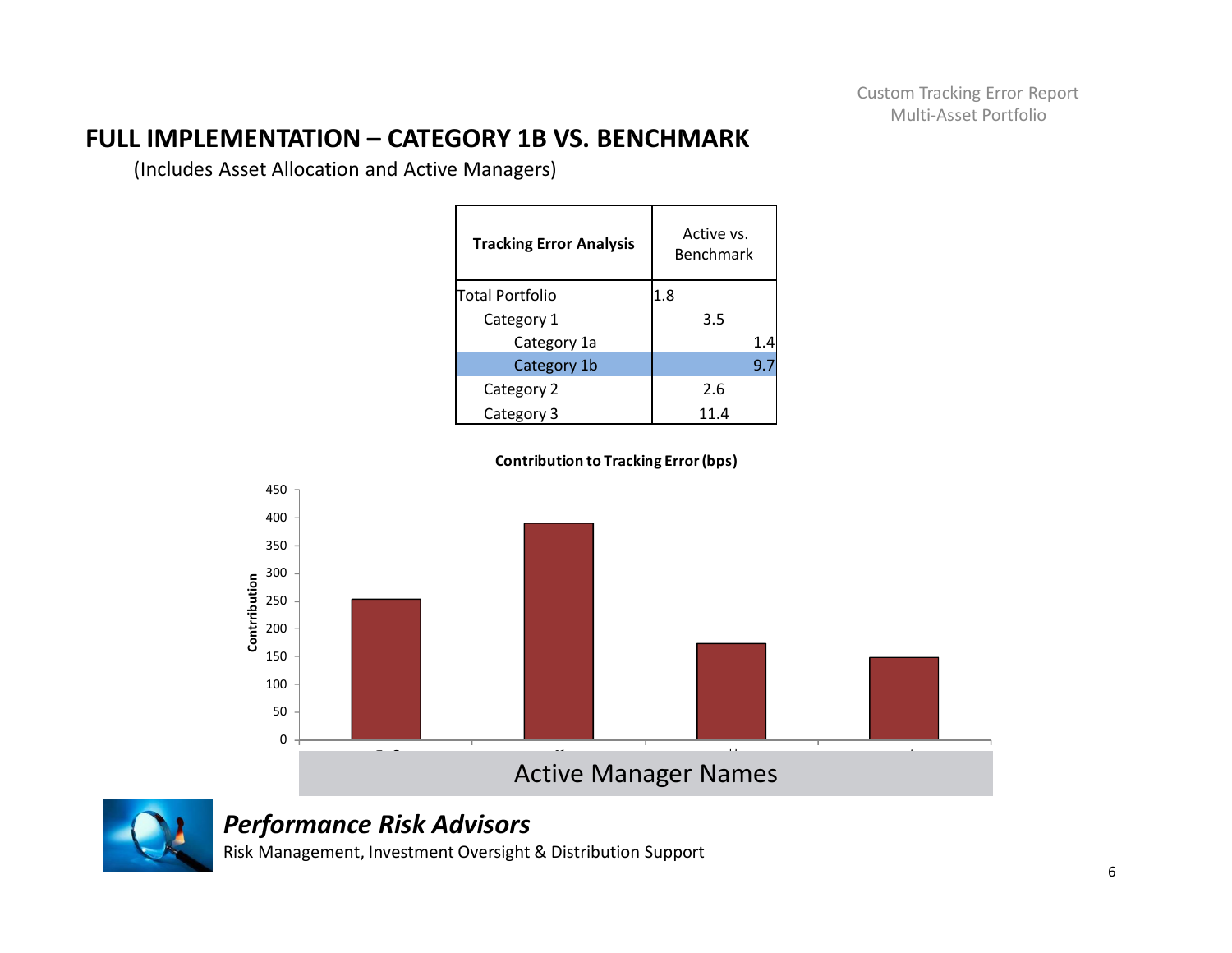# **FULL IMPLEMENTATION – CATEGORY 1B VS. BENCHMARK**

(Includes Asset Allocation and Active Managers)

| <b>Tracking Error Analysis</b> | Active vs.<br><b>Benchmark</b> |
|--------------------------------|--------------------------------|
| lTotal Portfolio               | 1.8                            |
| Category 1                     | 3.5                            |
| Category 1a                    | 1.4                            |
| Category 1b                    | 9.7                            |
| Category 2                     | 2.6                            |
| Category 3                     | 11.4                           |





# *Performance Risk Advisors*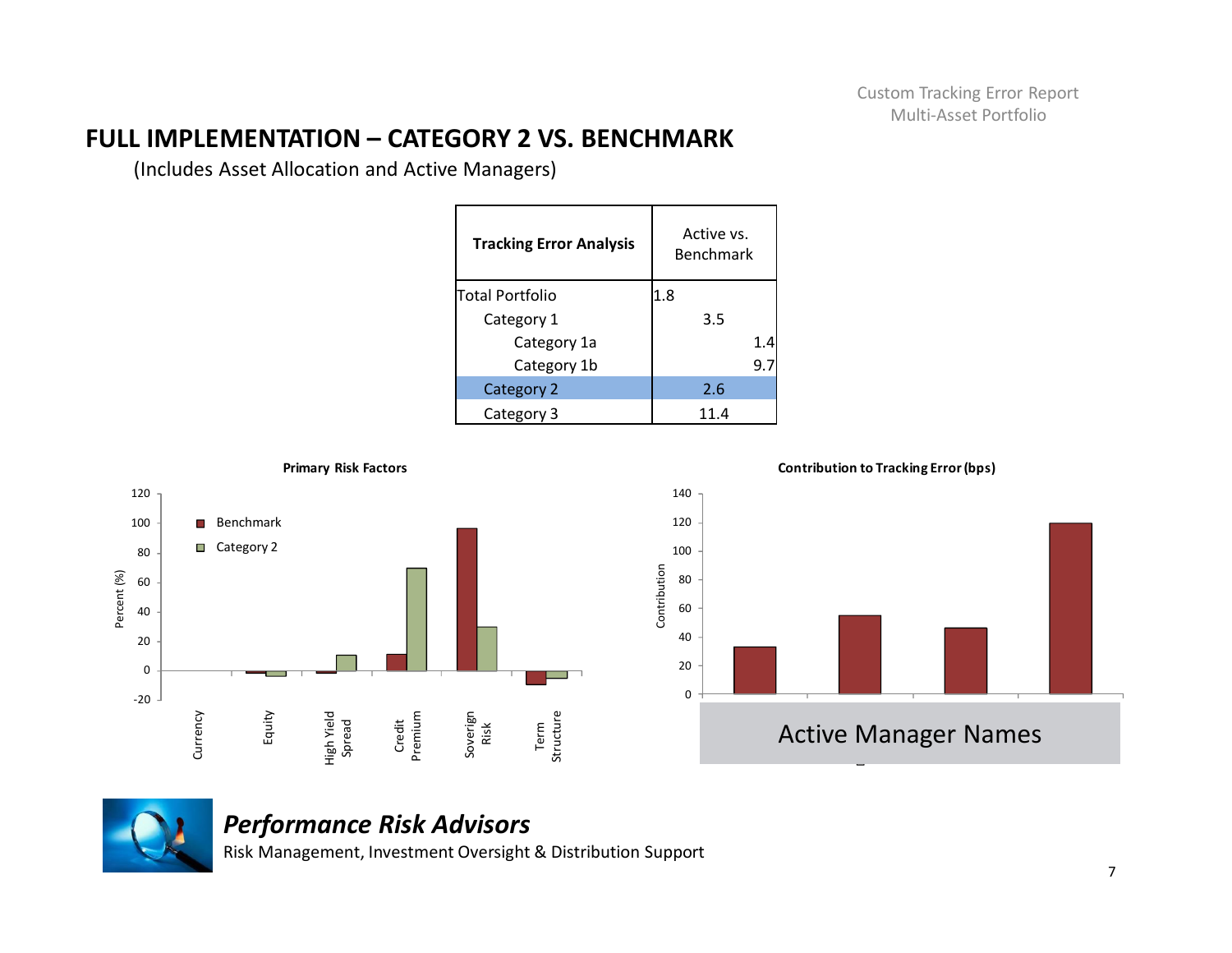# **FULL IMPLEMENTATION – CATEGORY 2 VS. BENCHMARK**

(Includes Asset Allocation and Active Managers)

| <b>Tracking Error Analysis</b> | Active vs.<br><b>Benchmark</b> |
|--------------------------------|--------------------------------|
| lTotal Portfolio               | 1.8                            |
| Category 1                     | 3.5                            |
| Category 1a                    | 1.4                            |
| Category 1b                    | 9.7                            |
| Category 2                     | 2.6                            |
| Category 3                     | 11.4                           |





#### *Performance Risk Advisors*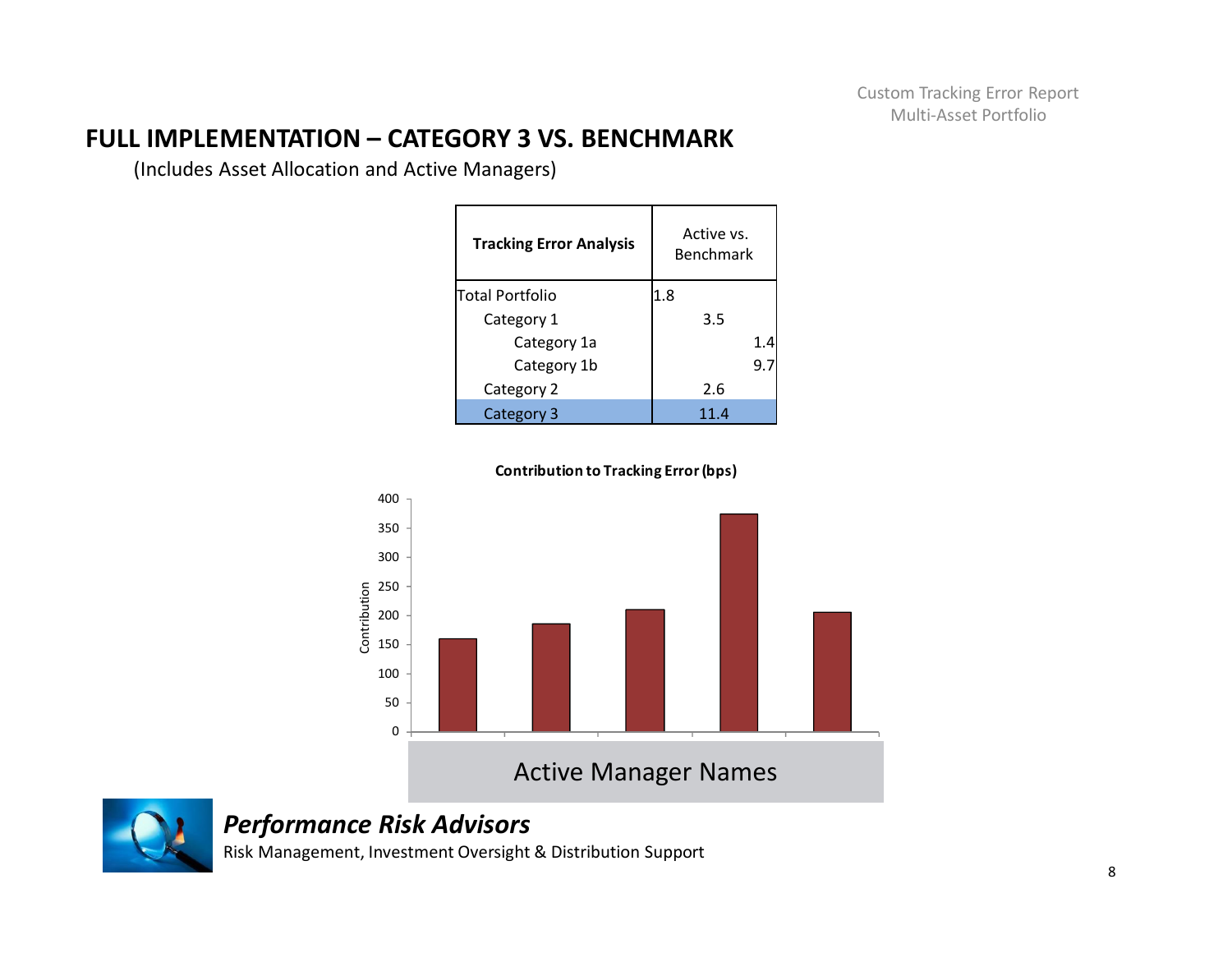# **FULL IMPLEMENTATION – CATEGORY 3 VS. BENCHMARK**

(Includes Asset Allocation and Active Managers)

| <b>Tracking Error Analysis</b> | Active vs.<br><b>Benchmark</b> |
|--------------------------------|--------------------------------|
| lTotal Portfolio               | 1.8                            |
| Category 1                     | 3.5                            |
| Category 1a                    | 1.4                            |
| Category 1b                    | 9.7                            |
| Category 2                     | 2.6                            |
| Category 3                     | 11.4                           |



**Contribution to Tracking Error (bps)**



*Performance Risk Advisors*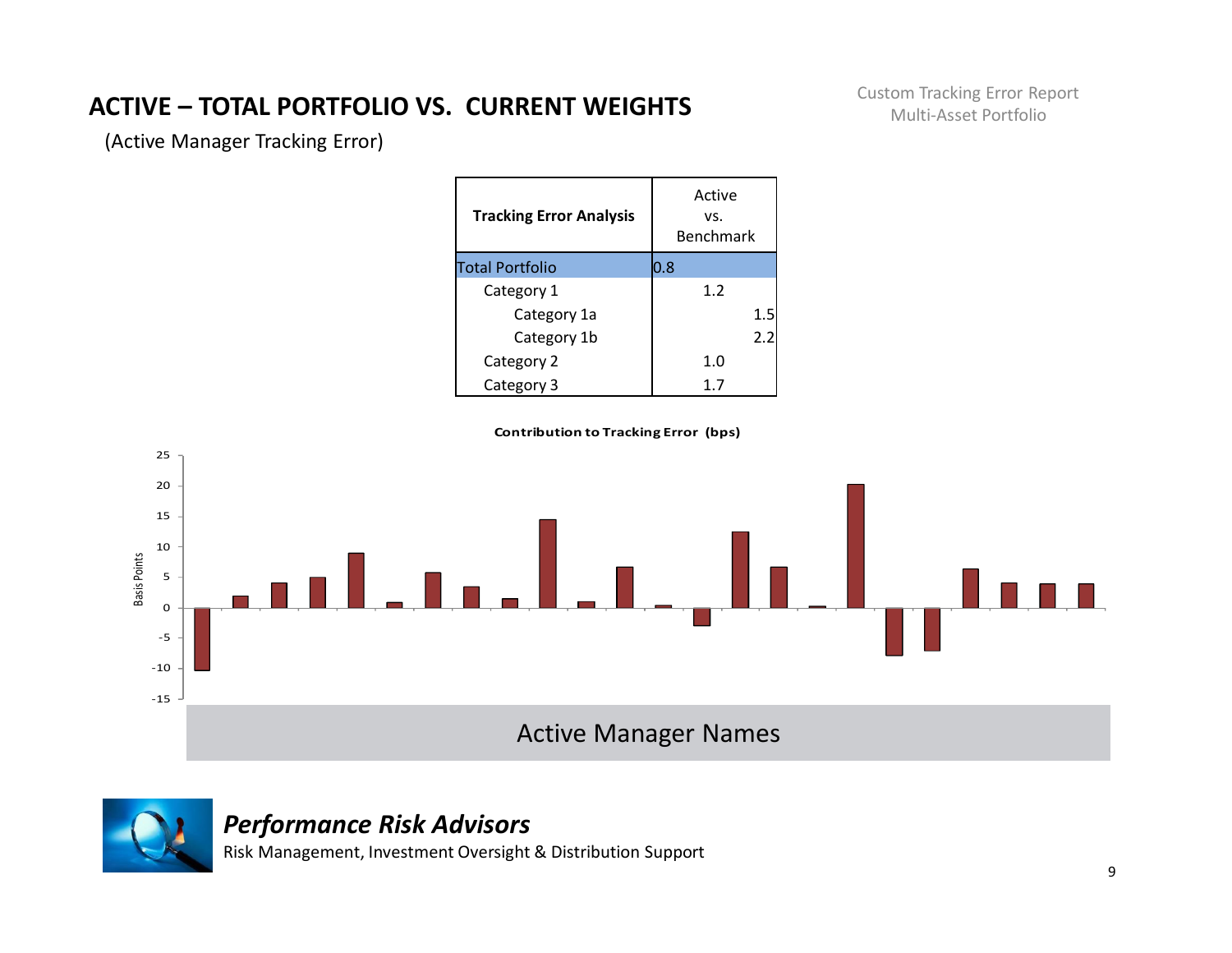# **ACTIVE – TOTAL PORTFOLIO VS. CURRENT WEIGHTS**

Custom Tracking Error Report Multi-Asset Portfolio

(Active Manager Tracking Error)

| <b>Tracking Error Analysis</b> | Active<br>VS.<br>Benchmark |
|--------------------------------|----------------------------|
| <b>Total Portfolio</b>         | $0.8\,$                    |
| Category 1                     | 1.2                        |
| Category 1a                    | 1.5                        |
| Category 1b                    | 2.2                        |
| Category 2                     | 1. $\Omega$                |
| Category 3                     | 1.7                        |

**Contribution to Tracking Error (bps)**





#### *Performance Risk Advisors*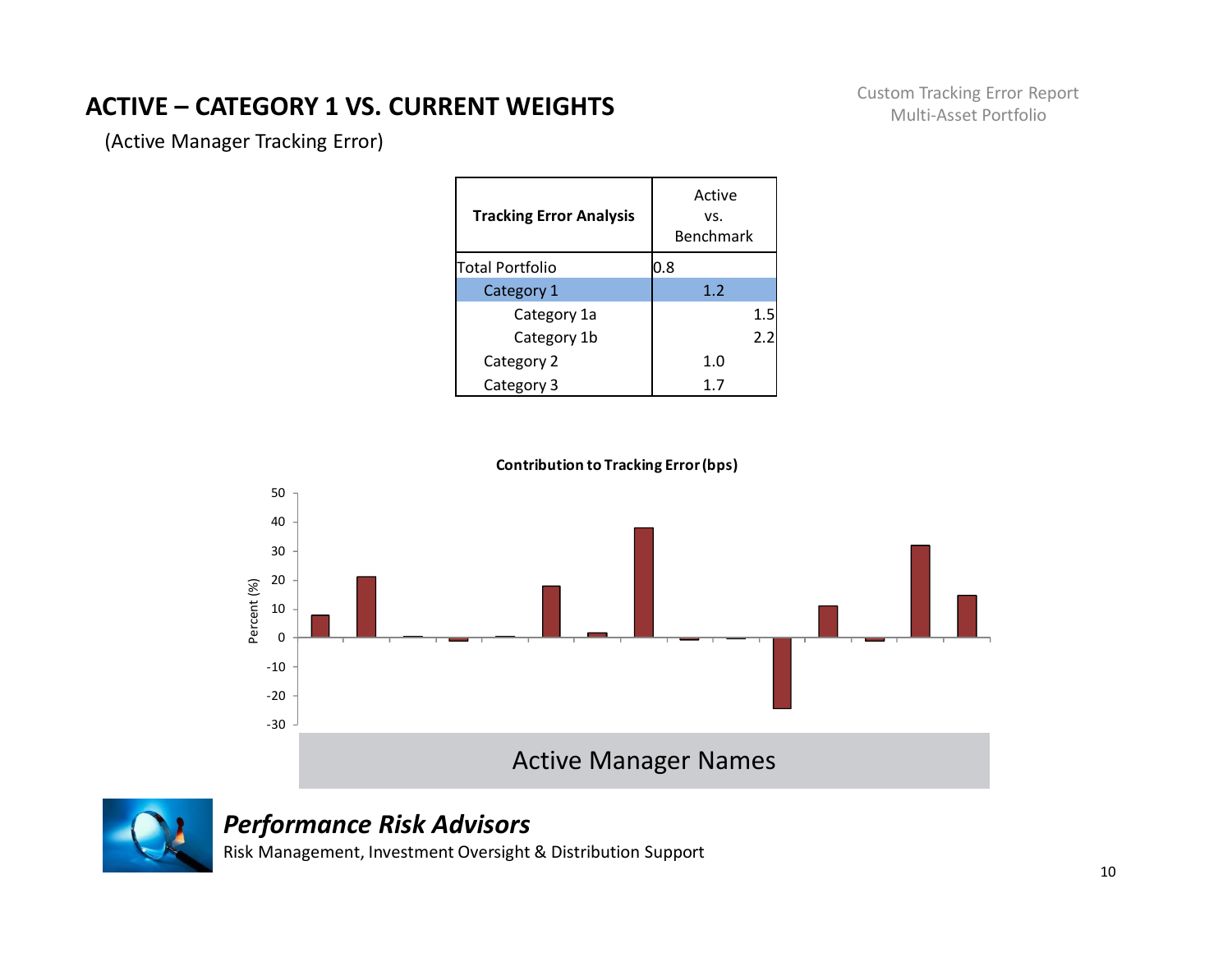# **ACTIVE – CATEGORY 1 VS. CURRENT WEIGHTS**

Custom Tracking Error Report Multi-Asset Portfolio

(Active Manager Tracking Error)

| <b>Tracking Error Analysis</b> | Active<br>VS.<br>Benchmark |
|--------------------------------|----------------------------|
| lTotal Portfolio               | $0.8\,$                    |
| Category 1                     | 1.2                        |
| Category 1a                    | 1.5                        |
| Category 1b                    | 2.2                        |
| Category 2                     | 1. $\Omega$                |
| Category 3                     |                            |





### *Performance Risk Advisors*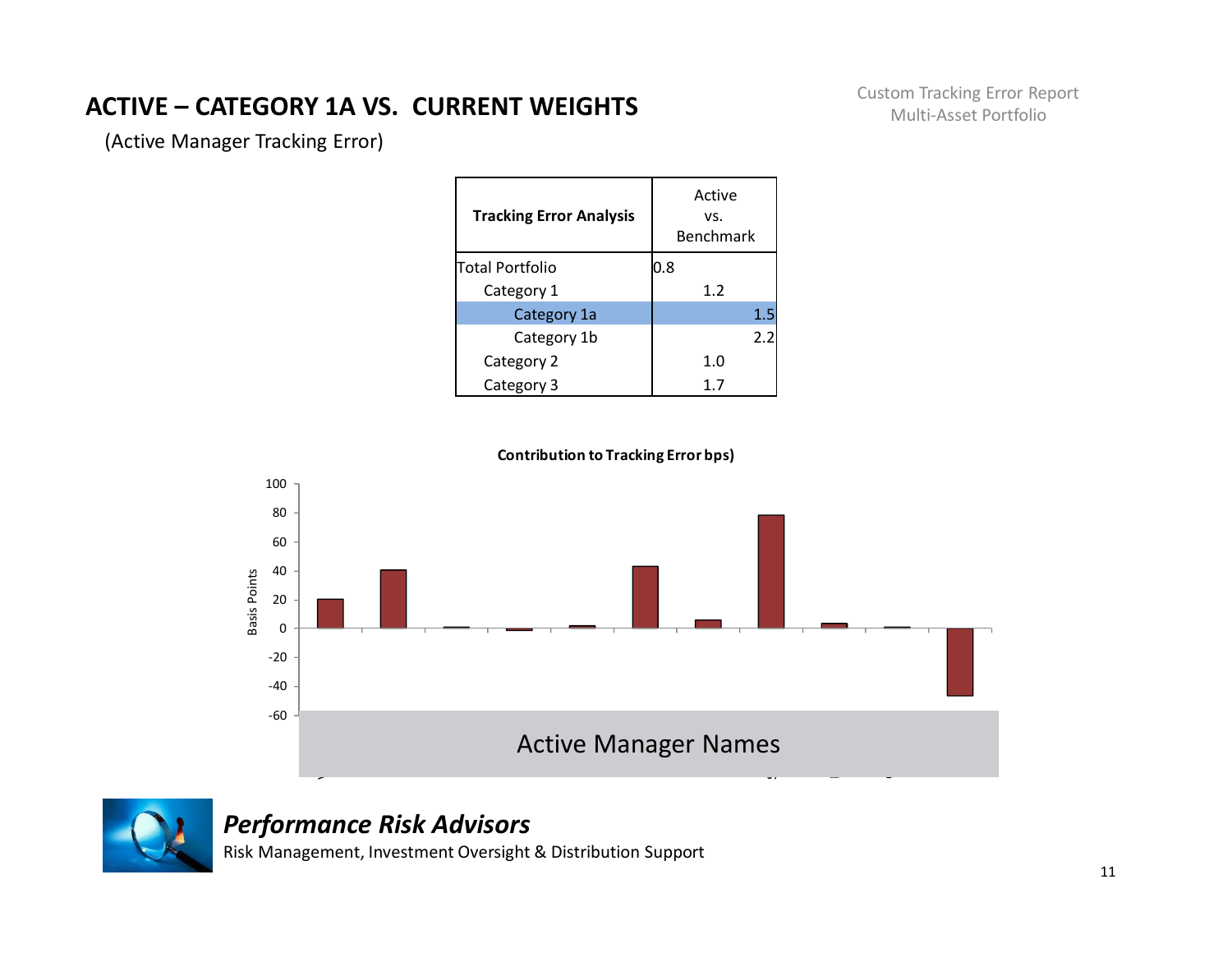# **ACTIVE – CATEGORY 1A VS. CURRENT WEIGHTS**

Custom Tracking Error Report Multi-Asset Portfolio

(Active Manager Tracking Error)

| <b>Tracking Error Analysis</b> | Active<br>VS.<br>Benchmark |
|--------------------------------|----------------------------|
| lTotal Portfolio               | 0.8                        |
| Category 1                     | 1.2                        |
| Category 1a                    | 1.5                        |
| Category 1b                    | 2.2                        |
| Category 2                     | 1.0                        |
| Category 3                     |                            |





# *Performance Risk Advisors*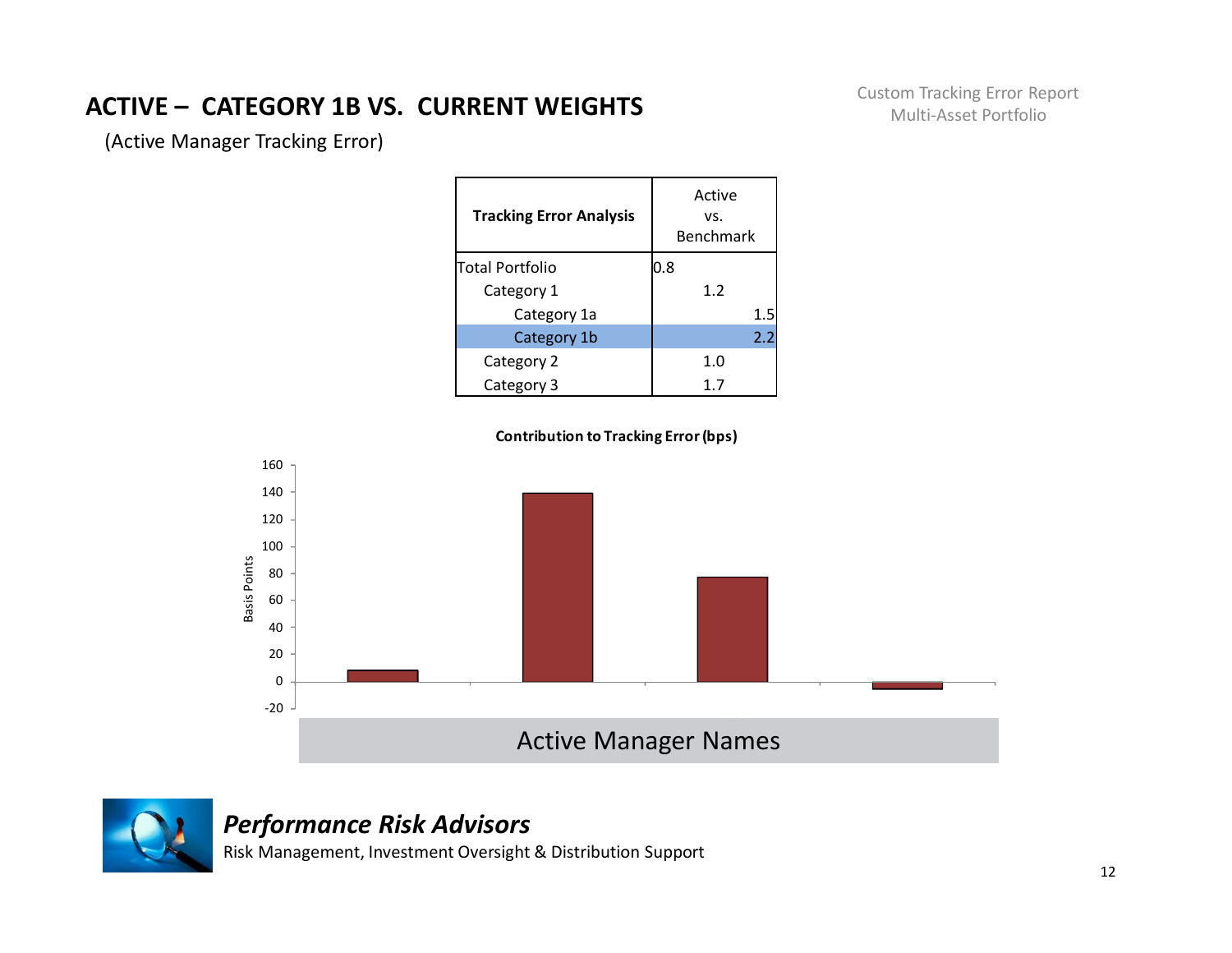# **ACTIVE – CATEGORY 1B VS. CURRENT WEIGHTS**

Custom Tracking Error Report Multi-Asset Portfolio

(Active Manager Tracking Error)

| <b>Tracking Error Analysis</b> | Active<br>VS.<br>Benchmark |
|--------------------------------|----------------------------|
| lTotal Portfolio               | 0.8                        |
| Category 1                     | 1.2                        |
| Category 1a                    | 1.5                        |
| Category 1b                    | 2.2                        |
| Category 2                     | 1.0                        |
| Category 3                     | 1.7                        |







#### *Performance Risk Advisors*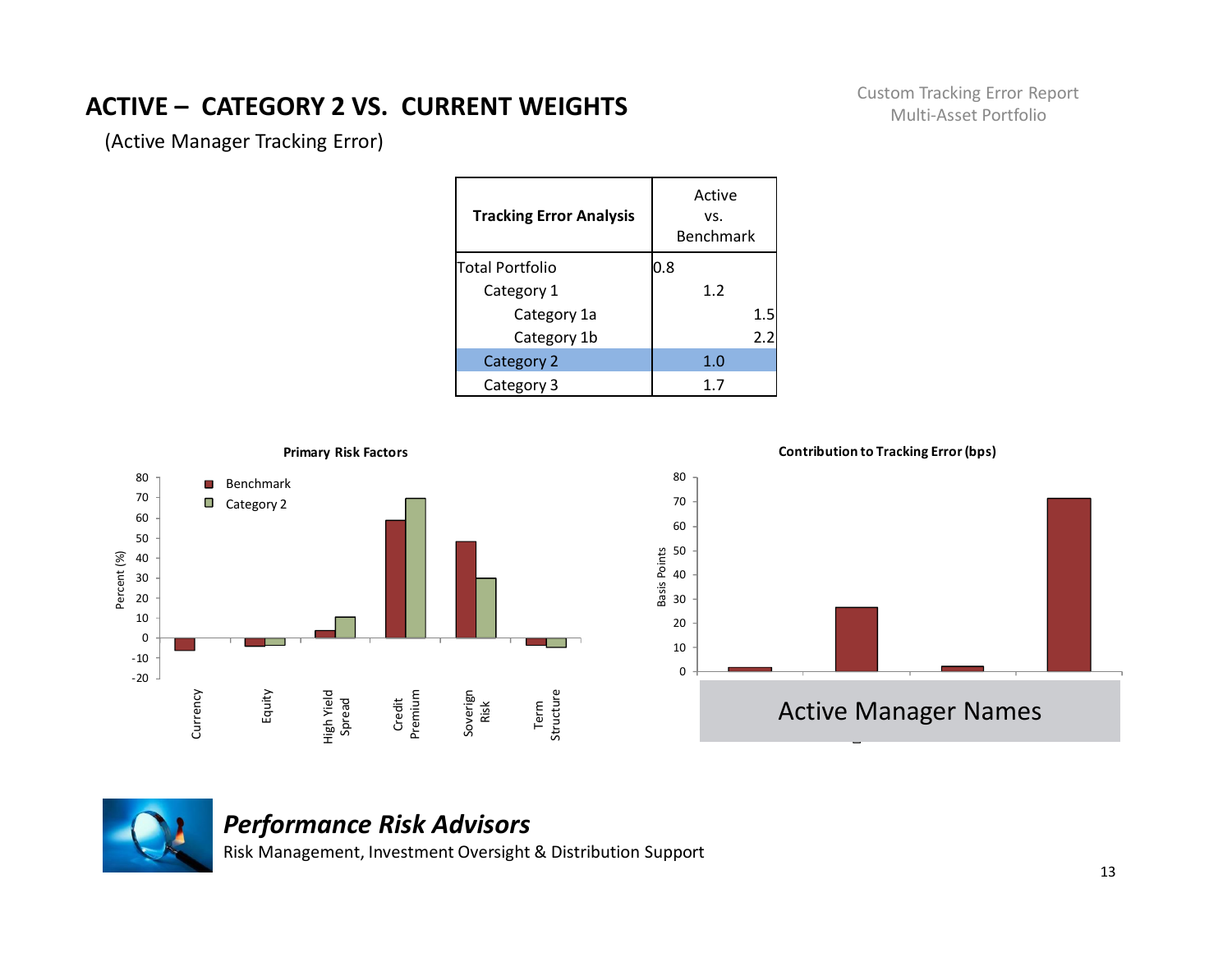# **ACTIVE – CATEGORY 2 VS. CURRENT WEIGHTS**

Custom Tracking Error Report Multi-Asset Portfolio

(Active Manager Tracking Error)

| <b>Tracking Error Analysis</b> | Active<br>VS.<br>Benchmark |
|--------------------------------|----------------------------|
| Total Portfolio                | 0.8                        |
| Category 1                     | 1.2                        |
| Category 1a                    | 1.5                        |
| Category 1b                    | 2.2                        |
| Category 2                     | 1.0                        |
| Category 3                     | 1.7                        |





# *Performance Risk Advisors*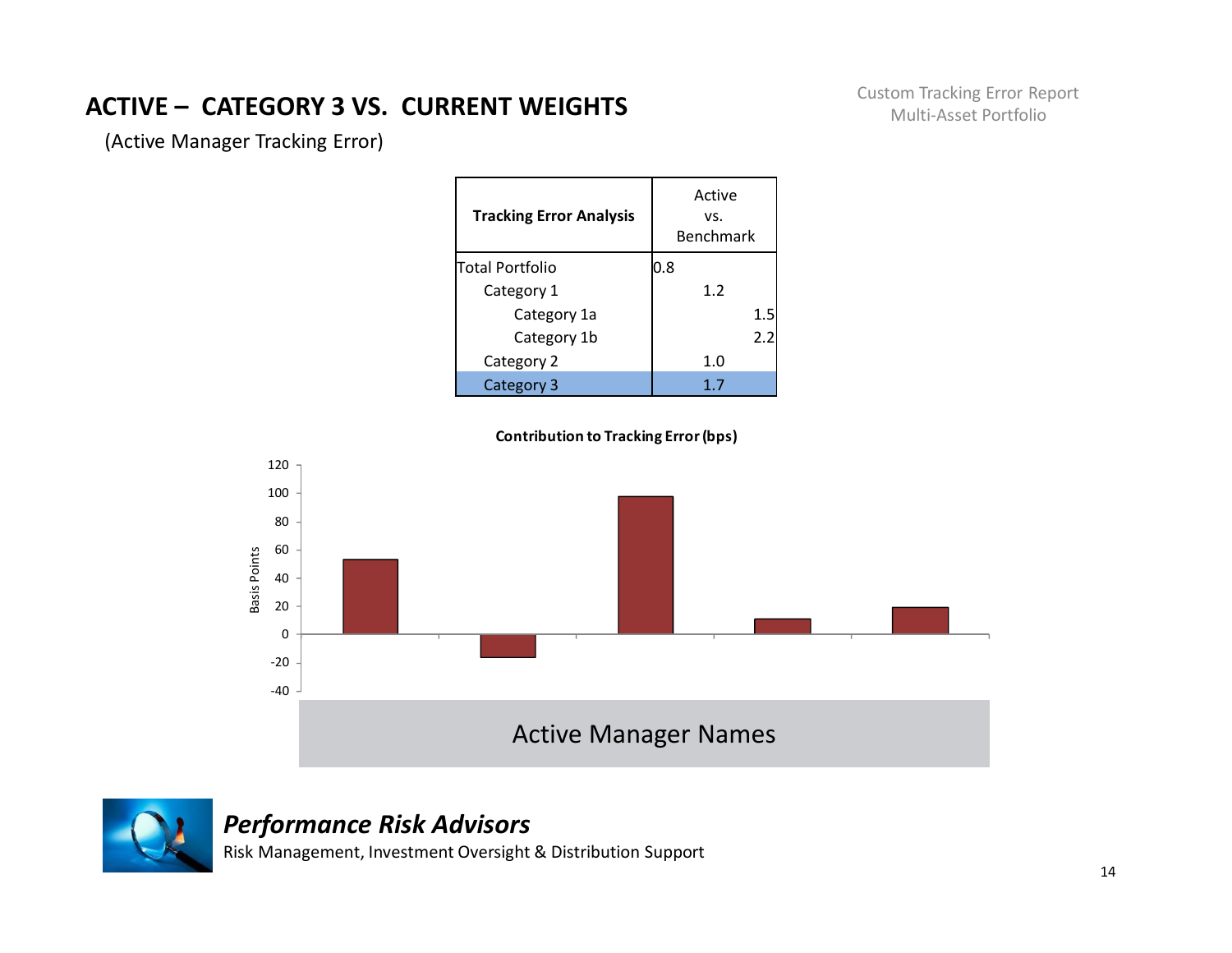# **ACTIVE – CATEGORY 3 VS. CURRENT WEIGHTS**

Custom Tracking Error Report Multi-Asset Portfolio

(Active Manager Tracking Error)

| <b>Tracking Error Analysis</b> | Active<br>VS.<br>Benchmark |
|--------------------------------|----------------------------|
| lTotal Portfolio               | 0.8                        |
| Category 1                     | 1.2                        |
| Category 1a                    | 1.5                        |
| Category 1b                    | 2.2                        |
| Category 2                     | 1. $\Omega$                |
| Category 3                     | 1.7                        |





#### *Performance Risk Advisors*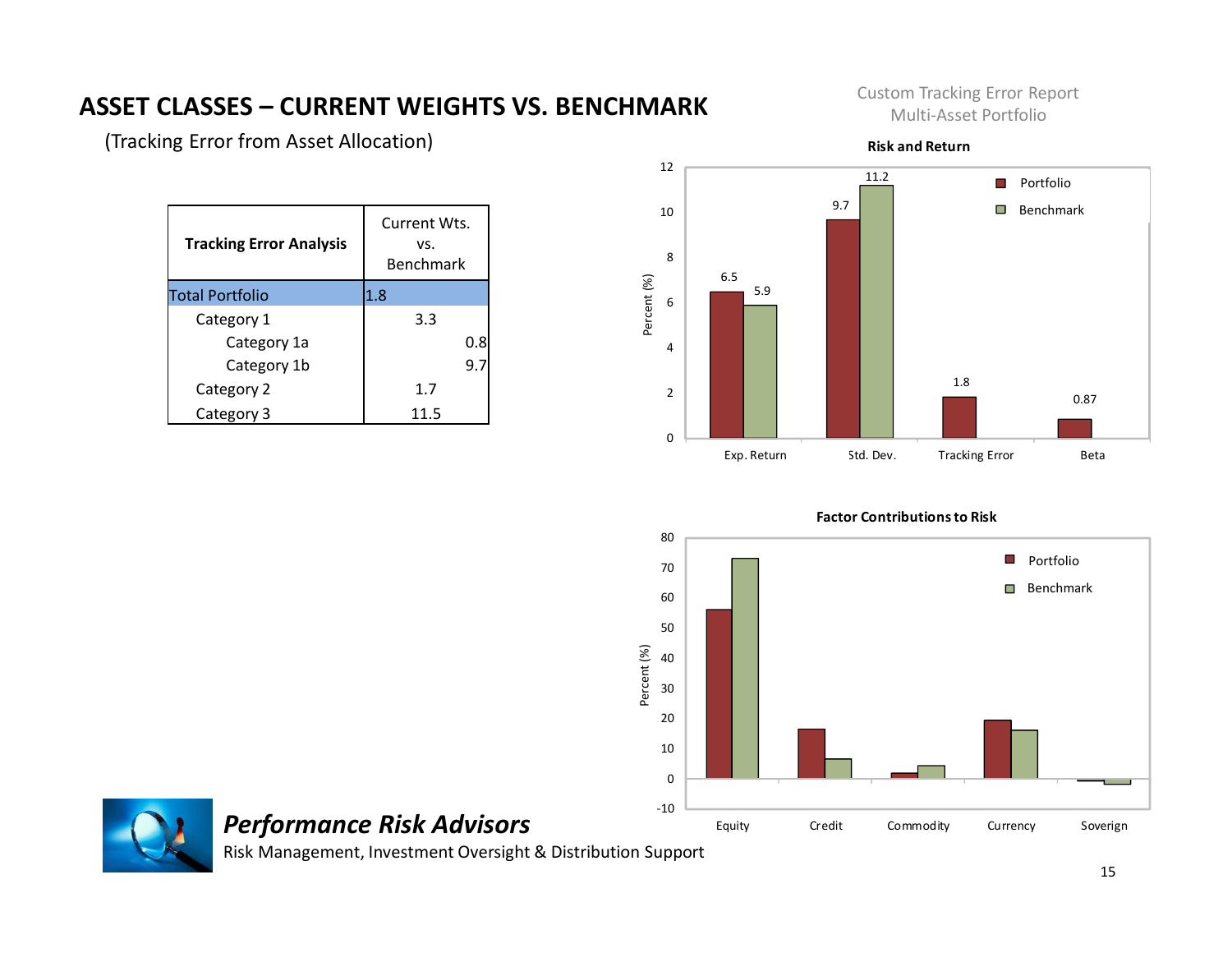# **ASSET CLASSES – CURRENT WEIGHTS VS. BENCHMARK**

(Tracking Error from Asset Allocation)

| <b>Tracking Error Analysis</b> | Current Wts.<br>VS.<br>Benchmark |
|--------------------------------|----------------------------------|
| <b>Total Portfolio</b>         | 1.8                              |
| Category 1                     | 3.3                              |
| Category 1a                    | 0.8                              |
| Category 1b                    | 9.7                              |
| Category 2                     | 1.7                              |
| Category 3                     | 11.5                             |

Custom Tracking Error Report Multi-Asset Portfolio



**Risk and Return**



**Factor Contributions to Risk**



*Performance Risk Advisors*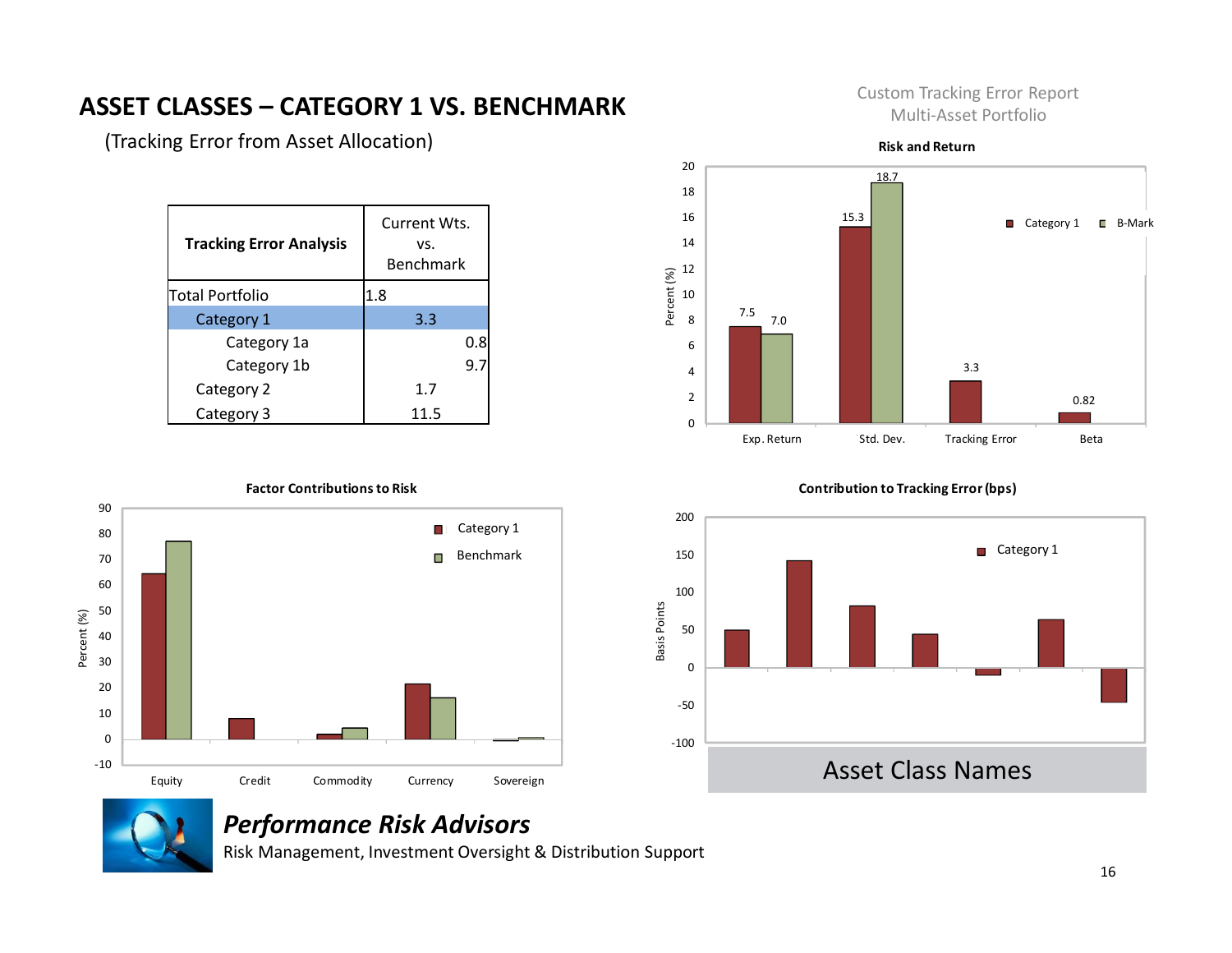#### **ASSET CLASSES – CATEGORY 1 VS. BENCHMARK**

(Tracking Error from Asset Allocation)

| <b>Tracking Error Analysis</b> | Current Wts.<br>VS.<br><b>Benchmark</b> |
|--------------------------------|-----------------------------------------|
| <b>Total Portfolio</b>         | 1.8                                     |
| Category 1                     | 3.3                                     |
| Category 1a                    | 0.8                                     |
| Category 1b                    |                                         |
| Category 2                     | 1.7                                     |
| Category 3                     | 11.5                                    |



Custom Tracking Error Report Multi-Asset Portfolio

#### **Factor Contributions to Risk** 90 Category 1 80 Benchmark 70 60 50 Percent (%) Percent (%) 40 30 20 10 0 -10 Equity Credit Commodity Currency Sovereign

#### **Contribution to Tracking Error (bps)**





#### *Performance Risk Advisors*

Risk Management, Investment Oversight & Distribution Support

16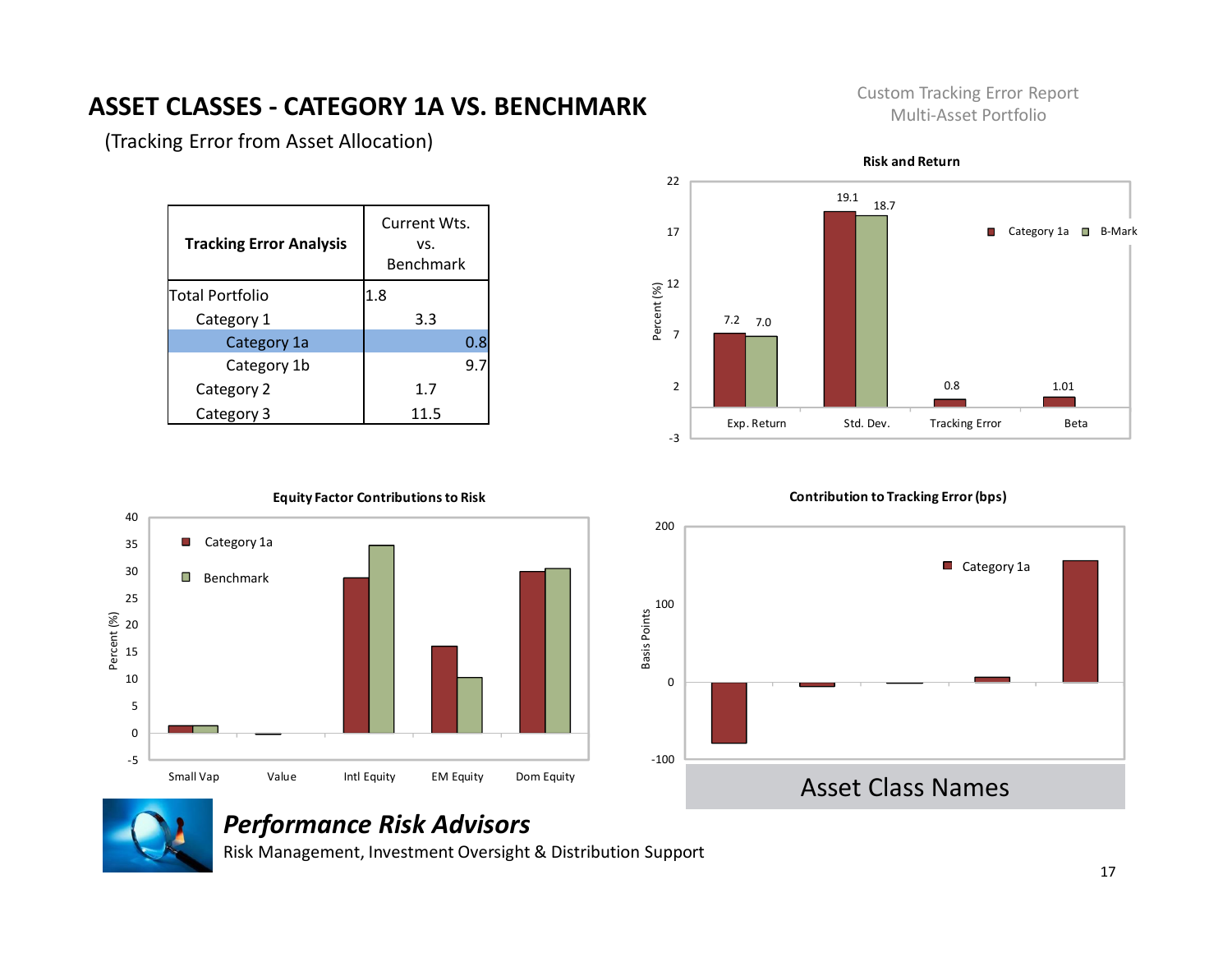# **ASSET CLASSES - CATEGORY 1A VS. BENCHMARK**

Custom Tracking Error Report Multi-Asset Portfolio

| <b>Tracking Error Analysis</b> | Current Wts.<br>VS.<br><b>Benchmark</b> |
|--------------------------------|-----------------------------------------|
| Total Portfolio                | 1.8                                     |
| Category 1                     | 3.3                                     |
| Category 1a                    | 0.8                                     |
| Category 1b                    | 9.7                                     |
| Category 2                     | 1.7                                     |
| Category 3                     | 11.5                                    |
|                                |                                         |

(Tracking Error from Asset Allocation)



-5 0 5 10 15 20 25 30 35 40 Small Vap Value Intl Equity EM Equity Dom Equity Percent (%) **Equity Factor Contributions to Risk** Category 1a Benchmark

#### **Contribution to Tracking Error (bps)**





#### *Performance Risk Advisors*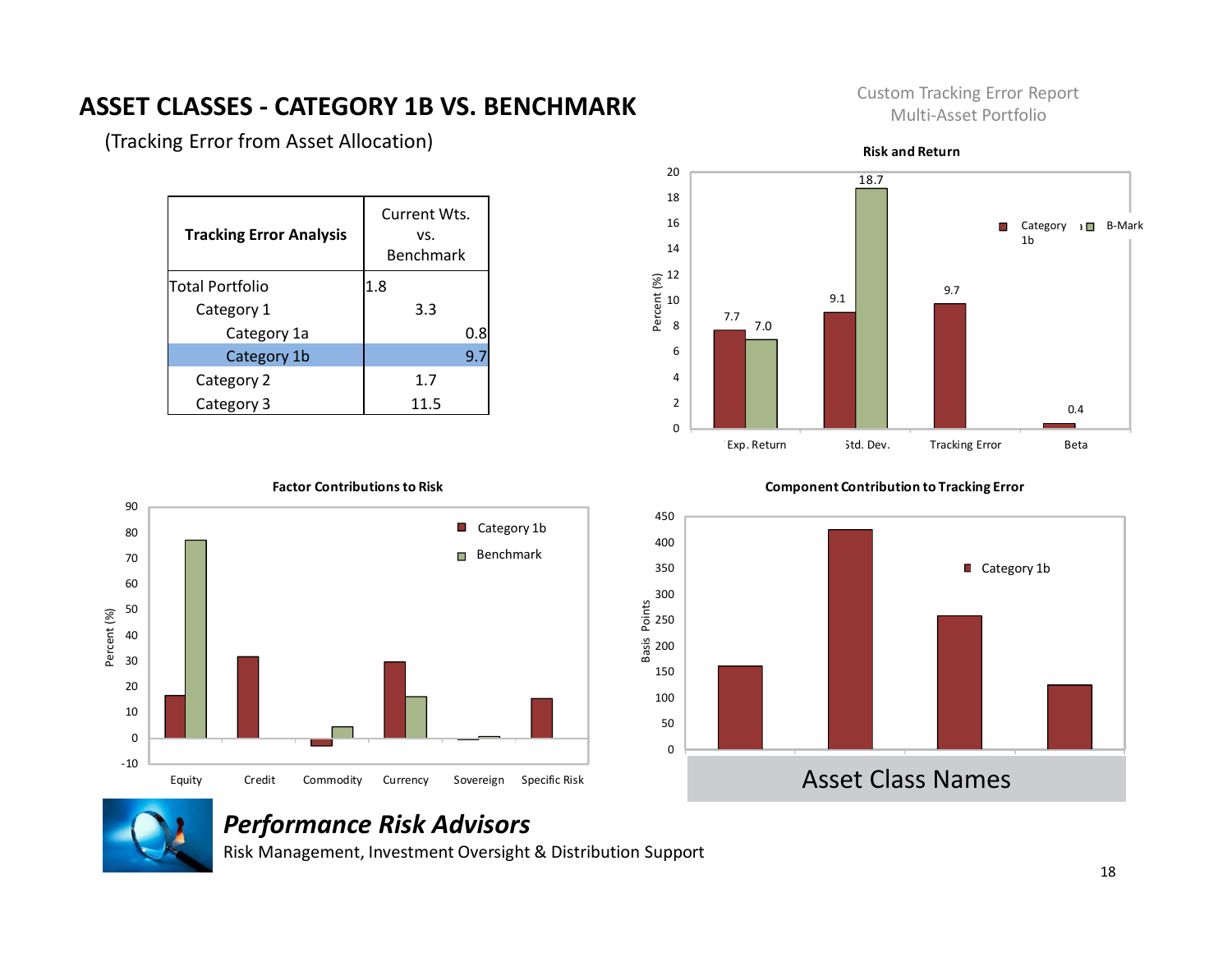#### **ASSET CLASSES - CATEGORY 1B VS. BENCHMARK**

(Tracking Error from Asset Allocation)

| <b>Tracking Error Analysis</b> | Current Wts.<br>VS.<br><b>Benchmark</b> |
|--------------------------------|-----------------------------------------|
| Total Portfolio                | 1.8                                     |
| Category 1                     | 3.3                                     |
| Category 1a                    | 0.8                                     |
| Category 1b                    | 9.7                                     |
| Category 2                     | 1.7                                     |
| Category 3                     | 11.5                                    |





#### **Factor Contributions to Risk**

#### **Component Contribution to Tracking Error**





#### *Performance Risk Advisors*

Risk Management, Investment Oversight & Distribution Support

#### Custom Tracking Error Report Multi-Asset Portfolio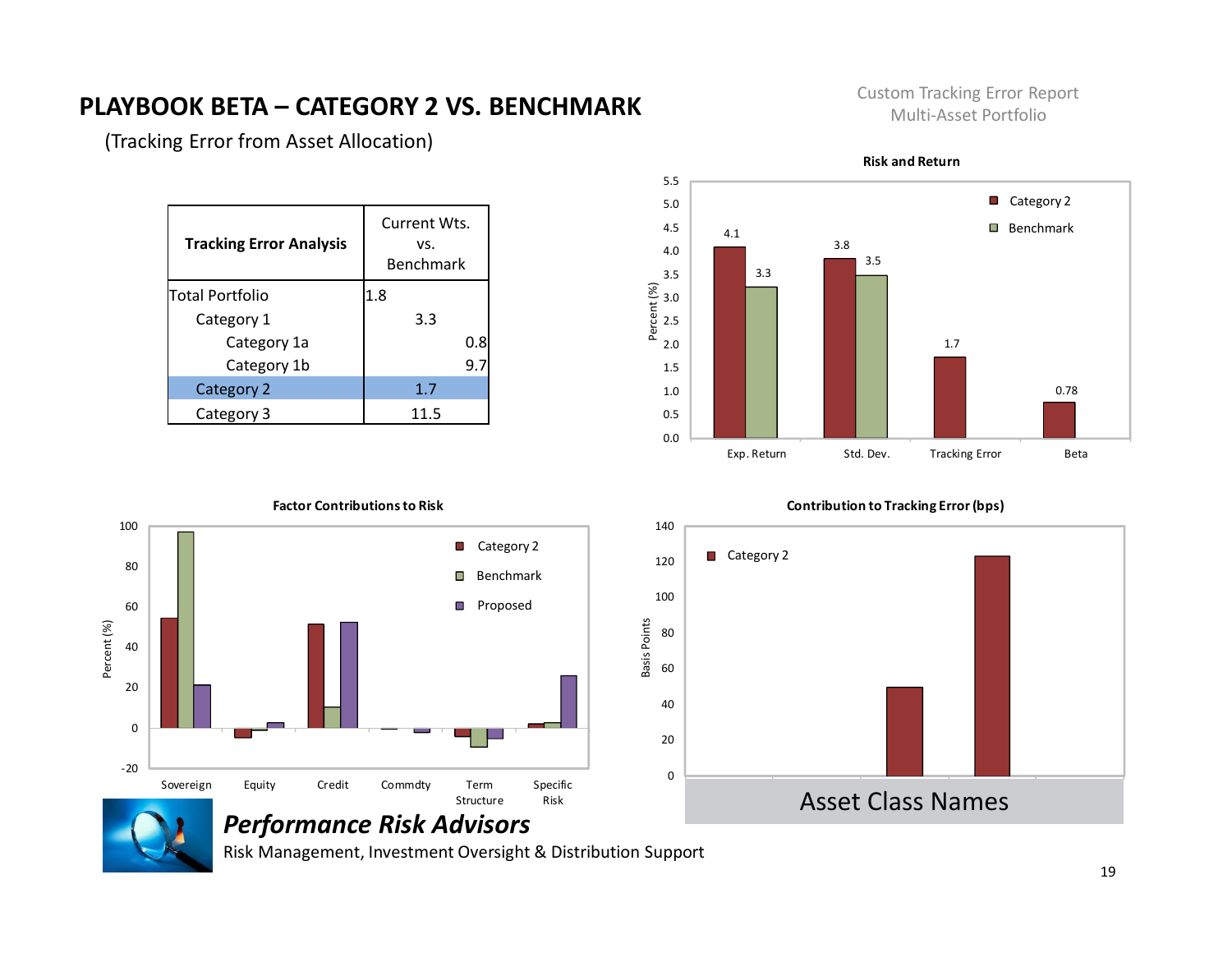#### **PLAYBOOK BETA – CATEGORY 2 VS. BENCHMARK**

Custom Tracking Error Report Multi-Asset Portfolio

(Tracking Error from Asset Allocation)

| <b>Tracking Error Analysis</b> | Current Wts.<br>VS.<br>Benchmark |
|--------------------------------|----------------------------------|
| Total Portfolio                | 1.8                              |
| Category 1                     | 3.3                              |
| Category 1a                    | 0.8                              |
| Category 1b                    |                                  |
| Category 2                     | 1.7                              |
| Category 3                     | 11.5                             |



#### **Risk and Return**